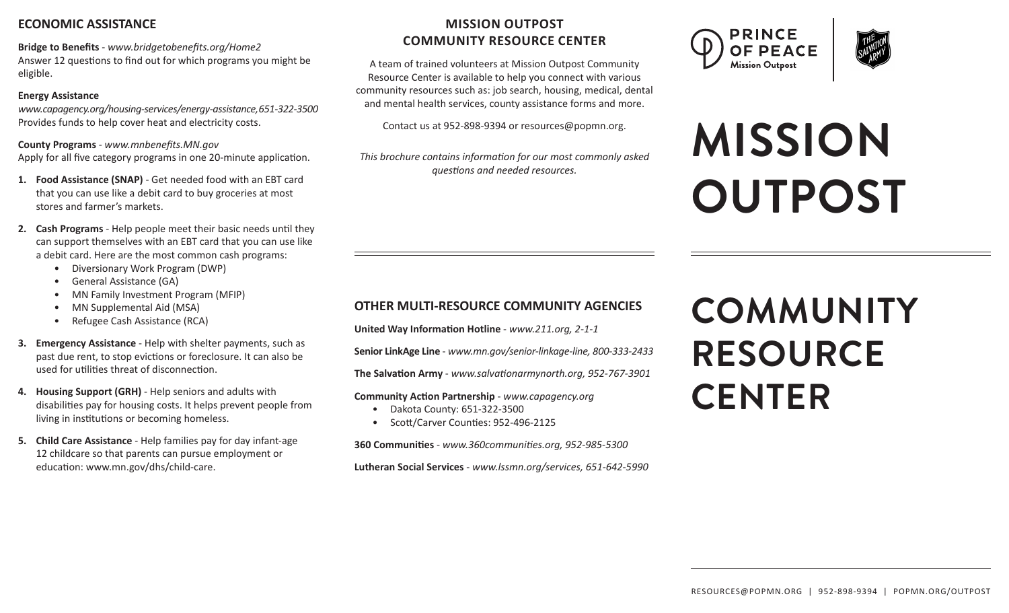## **ECONOMIC ASSISTANCE**

**Bridge to Benefits** - *www.bridgetobenefits.org/Home2* Answer 12 questions to find out for which programs you might be eligible.

#### **Energy Assistance**

*www.capagency.org/housing-services/energy-assistance, 651-322-3500* Provides funds to help cover heat and electricity costs.

**County Programs** - *www.mnbenefits.MN.gov* Apply for all five category programs in one 20-minute application.

- **1. Food Assistance (SNAP)** Get needed food with an EBT card that you can use like a debit card to buy groceries at most stores and farmer's markets.
- **2. Cash Programs** Help people meet their basic needs until they can support themselves with an EBT card that you can use like a debit card. Here are the most common cash programs:
	- Diversionary Work Program (DWP)
	- General Assistance (GA)
	- MN Family Investment Program (MFIP)
	- MN Supplemental Aid (MSA)
	- Refugee Cash Assistance (RCA)
- **3. Emergency Assistance** Help with shelter payments, such as past due rent, to stop evictions or foreclosure. It can also be used for utilities threat of disconnection.
- **4. Housing Support (GRH)** Help seniors and adults with disabilities pay for housing costs. It helps prevent people from living in institutions or becoming homeless.
- **5. Child Care Assistance** Help families pay for day infant-age 12 childcare so that parents can pursue employment or education: www.mn.gov/dhs/child-care.

# **MISSION OUTPOST COMMUNITY RESOURCE CENTER**

A team of trained volunteers at Mission Outpost Community Resource Center is available to help you connect with various community resources such as: job search, housing, medical, dental and mental health services, county assistance forms and more.

Contact us at 952-898-9394 or resources@popmn.org.

*This brochure contains information for our most commonly asked questions and needed resources.*





# **MISSION OUTPOST**

# **OTHER MULTI-RESOURCE COMMUNITY AGENCIES**

**United Way Information Hotline** - *www.211.org, 2-1-1*

**Senior LinkAge Line** - *www.mn.gov/senior-linkage-line, 800-333-2433*

**The Salvation Army** - *www.salvationarmynorth.org, 952-767-3901*

**Community Action Partnership** - *www.capagency.org* 

- Dakota County: 651-322-3500
- Scott/Carver Counties: 952-496-2125

**360 Communities** - *www.360communities.org, 952-985-5300*

**Lutheran Social Services** - *www.lssmn.org/services, 651-642-5990*

# **COMMUNITY RESOURCE CENTER**